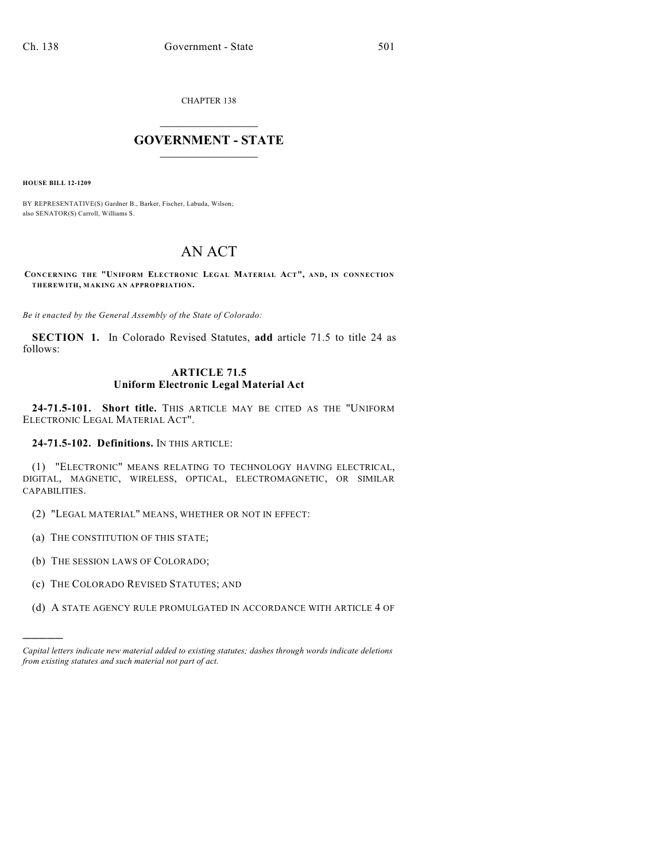CHAPTER 138

## $\mathcal{L}_\text{max}$  . The set of the set of the set of the set of the set of the set of the set of the set of the set of the set of the set of the set of the set of the set of the set of the set of the set of the set of the set **GOVERNMENT - STATE**  $\_$   $\_$

**HOUSE BILL 12-1209**

BY REPRESENTATIVE(S) Gardner B., Barker, Fischer, Labuda, Wilson; also SENATOR(S) Carroll, Williams S.

## AN ACT

**CONCERNING THE "UNIFORM ELECTRONIC LEGAL MATERIAL ACT", AND, IN CONNECTION THEREWITH, MAKING AN APPROPRIATION.**

*Be it enacted by the General Assembly of the State of Colorado:*

**SECTION 1.** In Colorado Revised Statutes, **add** article 71.5 to title 24 as follows:

## **ARTICLE 71.5 Uniform Electronic Legal Material Act**

**24-71.5-101. Short title.** THIS ARTICLE MAY BE CITED AS THE "UNIFORM ELECTRONIC LEGAL MATERIAL ACT".

**24-71.5-102. Definitions.** IN THIS ARTICLE:

(1) "ELECTRONIC" MEANS RELATING TO TECHNOLOGY HAVING ELECTRICAL, DIGITAL, MAGNETIC, WIRELESS, OPTICAL, ELECTROMAGNETIC, OR SIMILAR CAPABILITIES.

(2) "LEGAL MATERIAL" MEANS, WHETHER OR NOT IN EFFECT:

(a) THE CONSTITUTION OF THIS STATE;

(b) THE SESSION LAWS OF COLORADO;

)))))

(c) THE COLORADO REVISED STATUTES; AND

(d) A STATE AGENCY RULE PROMULGATED IN ACCORDANCE WITH ARTICLE 4 OF

*Capital letters indicate new material added to existing statutes; dashes through words indicate deletions from existing statutes and such material not part of act.*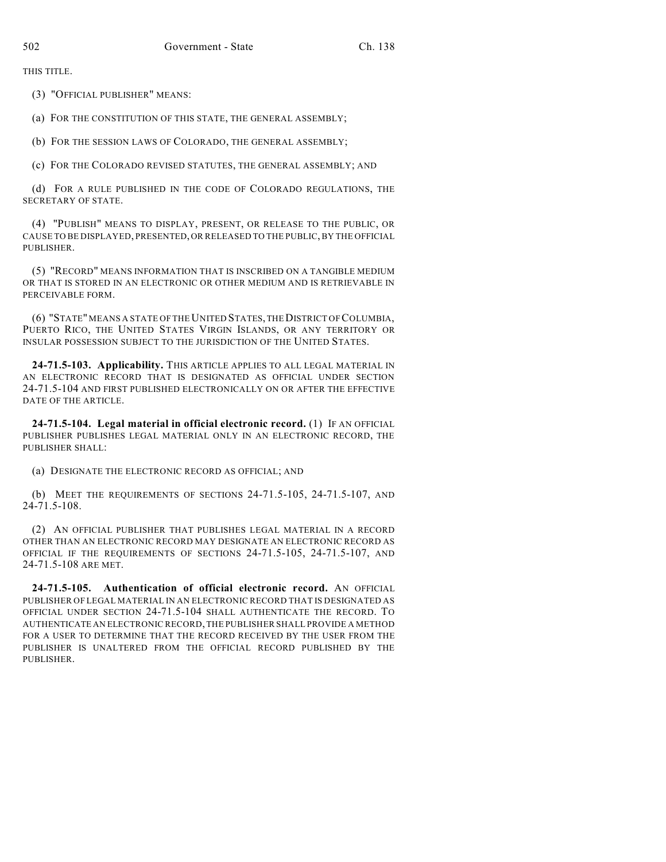THIS TITLE.

(3) "OFFICIAL PUBLISHER" MEANS:

(a) FOR THE CONSTITUTION OF THIS STATE, THE GENERAL ASSEMBLY;

(b) FOR THE SESSION LAWS OF COLORADO, THE GENERAL ASSEMBLY;

(c) FOR THE COLORADO REVISED STATUTES, THE GENERAL ASSEMBLY; AND

(d) FOR A RULE PUBLISHED IN THE CODE OF COLORADO REGULATIONS, THE SECRETARY OF STATE.

(4) "PUBLISH" MEANS TO DISPLAY, PRESENT, OR RELEASE TO THE PUBLIC, OR CAUSE TO BE DISPLAYED, PRESENTED, OR RELEASED TO THE PUBLIC, BY THE OFFICIAL PUBLISHER.

(5) "RECORD" MEANS INFORMATION THAT IS INSCRIBED ON A TANGIBLE MEDIUM OR THAT IS STORED IN AN ELECTRONIC OR OTHER MEDIUM AND IS RETRIEVABLE IN PERCEIVABLE FORM.

(6) "STATE" MEANS A STATE OF THE UNITED STATES, THEDISTRICT OF COLUMBIA, PUERTO RICO, THE UNITED STATES VIRGIN ISLANDS, OR ANY TERRITORY OR INSULAR POSSESSION SUBJECT TO THE JURISDICTION OF THE UNITED STATES.

**24-71.5-103. Applicability.** THIS ARTICLE APPLIES TO ALL LEGAL MATERIAL IN AN ELECTRONIC RECORD THAT IS DESIGNATED AS OFFICIAL UNDER SECTION 24-71.5-104 AND FIRST PUBLISHED ELECTRONICALLY ON OR AFTER THE EFFECTIVE DATE OF THE ARTICLE.

**24-71.5-104. Legal material in official electronic record.** (1) IF AN OFFICIAL PUBLISHER PUBLISHES LEGAL MATERIAL ONLY IN AN ELECTRONIC RECORD, THE PUBLISHER SHALL:

(a) DESIGNATE THE ELECTRONIC RECORD AS OFFICIAL; AND

(b) MEET THE REQUIREMENTS OF SECTIONS 24-71.5-105, 24-71.5-107, AND 24-71.5-108.

(2) AN OFFICIAL PUBLISHER THAT PUBLISHES LEGAL MATERIAL IN A RECORD OTHER THAN AN ELECTRONIC RECORD MAY DESIGNATE AN ELECTRONIC RECORD AS OFFICIAL IF THE REQUIREMENTS OF SECTIONS 24-71.5-105, 24-71.5-107, AND 24-71.5-108 ARE MET.

**24-71.5-105. Authentication of official electronic record.** AN OFFICIAL PUBLISHER OF LEGAL MATERIAL IN AN ELECTRONIC RECORD THAT IS DESIGNATED AS OFFICIAL UNDER SECTION 24-71.5-104 SHALL AUTHENTICATE THE RECORD. TO AUTHENTICATE AN ELECTRONIC RECORD, THE PUBLISHER SHALL PROVIDE A METHOD FOR A USER TO DETERMINE THAT THE RECORD RECEIVED BY THE USER FROM THE PUBLISHER IS UNALTERED FROM THE OFFICIAL RECORD PUBLISHED BY THE PUBLISHER.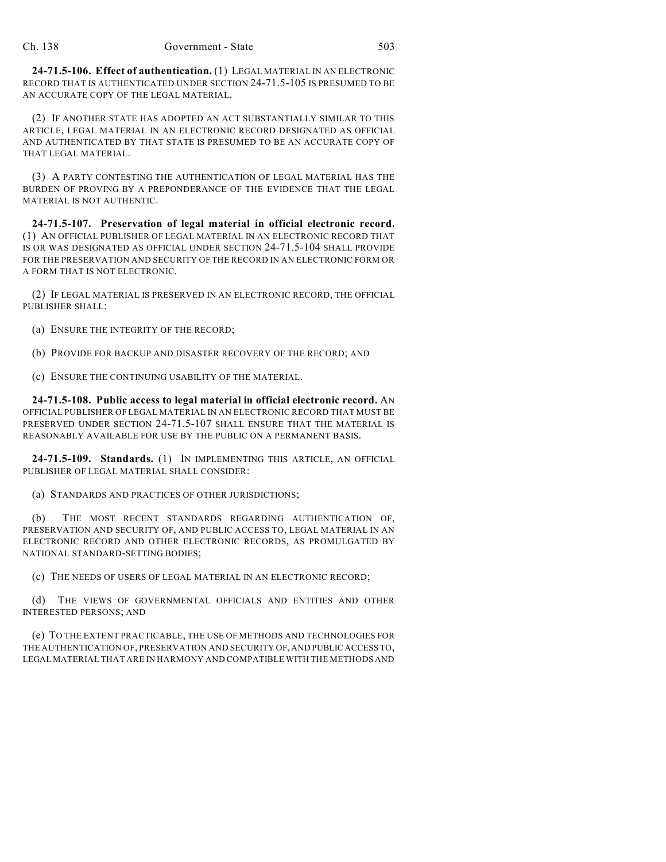**24-71.5-106. Effect of authentication.** (1) LEGAL MATERIAL IN AN ELECTRONIC RECORD THAT IS AUTHENTICATED UNDER SECTION 24-71.5-105 IS PRESUMED TO BE AN ACCURATE COPY OF THE LEGAL MATERIAL.

(2) IF ANOTHER STATE HAS ADOPTED AN ACT SUBSTANTIALLY SIMILAR TO THIS ARTICLE, LEGAL MATERIAL IN AN ELECTRONIC RECORD DESIGNATED AS OFFICIAL AND AUTHENTICATED BY THAT STATE IS PRESUMED TO BE AN ACCURATE COPY OF THAT LEGAL MATERIAL.

(3) A PARTY CONTESTING THE AUTHENTICATION OF LEGAL MATERIAL HAS THE BURDEN OF PROVING BY A PREPONDERANCE OF THE EVIDENCE THAT THE LEGAL MATERIAL IS NOT AUTHENTIC.

**24-71.5-107. Preservation of legal material in official electronic record.** (1) AN OFFICIAL PUBLISHER OF LEGAL MATERIAL IN AN ELECTRONIC RECORD THAT IS OR WAS DESIGNATED AS OFFICIAL UNDER SECTION 24-71.5-104 SHALL PROVIDE FOR THE PRESERVATION AND SECURITY OF THE RECORD IN AN ELECTRONIC FORM OR A FORM THAT IS NOT ELECTRONIC.

(2) IF LEGAL MATERIAL IS PRESERVED IN AN ELECTRONIC RECORD, THE OFFICIAL PUBLISHER SHALL:

- (a) ENSURE THE INTEGRITY OF THE RECORD;
- (b) PROVIDE FOR BACKUP AND DISASTER RECOVERY OF THE RECORD; AND
- (c) ENSURE THE CONTINUING USABILITY OF THE MATERIAL.

**24-71.5-108. Public access to legal material in official electronic record.** AN OFFICIAL PUBLISHER OF LEGAL MATERIAL IN AN ELECTRONIC RECORD THAT MUST BE PRESERVED UNDER SECTION 24-71.5-107 SHALL ENSURE THAT THE MATERIAL IS REASONABLY AVAILABLE FOR USE BY THE PUBLIC ON A PERMANENT BASIS.

**24-71.5-109. Standards.** (1) IN IMPLEMENTING THIS ARTICLE, AN OFFICIAL PUBLISHER OF LEGAL MATERIAL SHALL CONSIDER:

(a) STANDARDS AND PRACTICES OF OTHER JURISDICTIONS;

(b) THE MOST RECENT STANDARDS REGARDING AUTHENTICATION OF, PRESERVATION AND SECURITY OF, AND PUBLIC ACCESS TO, LEGAL MATERIAL IN AN ELECTRONIC RECORD AND OTHER ELECTRONIC RECORDS, AS PROMULGATED BY NATIONAL STANDARD-SETTING BODIES;

(c) THE NEEDS OF USERS OF LEGAL MATERIAL IN AN ELECTRONIC RECORD;

(d) THE VIEWS OF GOVERNMENTAL OFFICIALS AND ENTITIES AND OTHER INTERESTED PERSONS; AND

(e) TO THE EXTENT PRACTICABLE, THE USE OF METHODS AND TECHNOLOGIES FOR THE AUTHENTICATION OF, PRESERVATION AND SECURITY OF, AND PUBLIC ACCESS TO, LEGAL MATERIAL THAT ARE IN HARMONY AND COMPATIBLE WITH THE METHODS AND